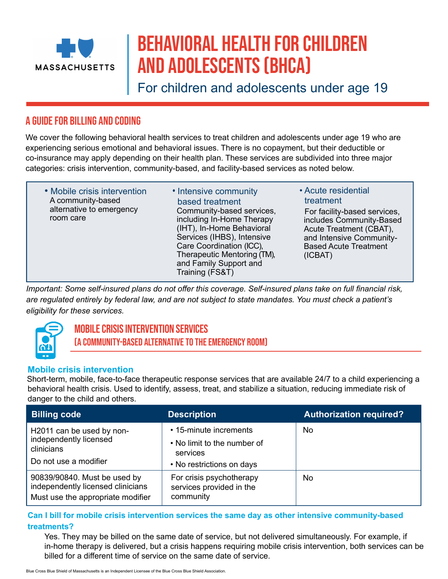

# Behavioral Health for Children and Adolescents (BHCA)

For children and adolescents under age 19

# A guide for billing and coding

We cover the following behavioral health services to treat children and adolescents under age 19 who are experiencing serious emotional and behavioral issues. There is no copayment, but their deductible or co-insurance may apply depending on their health plan. These services are subdivided into three major categories: crisis intervention, community-based, and facility-based services as noted below.

• Mobile crisis intervention A community-based alternative to emergency room care

Community-based services, including In-Home Therapy (IHT), In-Home Behavioral Services (IHBS), Intensive Care Coordination (ICC), Therapeutic Mentoring (TM), and Family Support and Training (FS&T) • Intensive community based treatment

• Acute residential treatment

For facility-based services, includes Community-Based Acute Treatment (CBAT), and Intensive Community-Based Acute Treatment (ICBAT)

*Important: Some self-insured plans do not offer this coverage. Self-insured plans take on full financial risk, are regulated entirely by federal law, and are not subject to state mandates. You must check a patient's eligibility for these services.* 



## Mobile Crisis Intervention Services (a community-based alternative to the emergency room)

#### **Mobile crisis intervention**

Short-term, mobile, face-to-face therapeutic response services that are available 24/7 to a child experiencing a behavioral health crisis. Used to identify, assess, treat, and stabilize a situation, reducing immediate risk of danger to the child and others.

| <b>Billing code</b>                                                                                    | <b>Description</b>                                                                             | <b>Authorization required?</b> |
|--------------------------------------------------------------------------------------------------------|------------------------------------------------------------------------------------------------|--------------------------------|
| H2011 can be used by non-<br>independently licensed<br>clinicians<br>Do not use a modifier             | • 15-minute increments<br>• No limit to the number of<br>services                              | No                             |
| 90839/90840. Must be used by<br>independently licensed clinicians<br>Must use the appropriate modifier | • No restrictions on days<br>For crisis psychotherapy<br>services provided in the<br>community | No                             |

#### **Can I bill for mobile crisis intervention services the same day as other intensive community-based treatments?**

Yes. They may be billed on the same date of service, but not delivered simultaneously. For example, if in-home therapy is delivered, but a crisis happens requiring mobile crisis intervention, both services can be billed for a different time of service on the same date of service.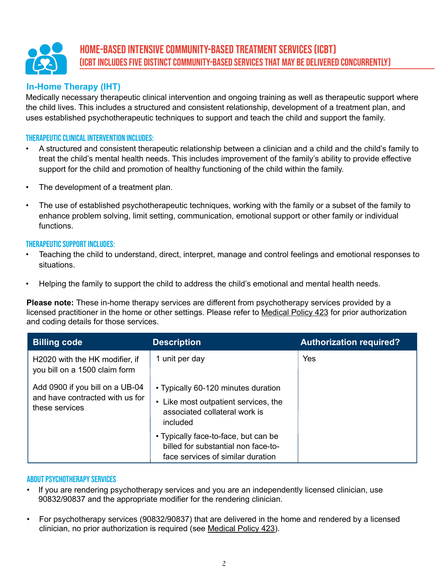# Home-Based Intensive Community-based Treatment Services (ICBT) (ICBT includes five distinct community-based services that may be delivered concurrently)

#### **In-Home Therapy (IHT)**

Medically necessary therapeutic clinical intervention and ongoing training as well as therapeutic support where the child lives. This includes a structured and consistent relationship, development of a treatment plan, and uses established psychotherapeutic techniques to support and teach the child and support the family.

#### Therapeutic clinical intervention includes:

- A structured and consistent therapeutic relationship between a clinician and a child and the child's family to treat the child's mental health needs. This includes improvement of the family's ability to provide effective support for the child and promotion of healthy functioning of the child within the family.
- The development of a treatment plan.
- The use of established psychotherapeutic techniques, working with the family or a subset of the family to enhance problem solving, limit setting, communication, emotional support or other family or individual functions.

#### Therapeutic support includes:

- Teaching the child to understand, direct, interpret, manage and control feelings and emotional responses to situations.
- Helping the family to support the child to address the child's emotional and mental health needs.

**Please note:** These in-home therapy services are different from psychotherapy services provided by a licensed practitioner in the home or other settings. Please refer to [Medical Policy 423](https://www.bluecrossma.org/medical-policies/sites/g/files/csphws2091/files/acquiadam-assets/423 Outpatient Psychotherapy prn.pdf) for prior authorization and coding details for those services.

| <b>Billing code</b>                                                                  | <b>Description</b>                                                                                                       | <b>Authorization required?</b> |
|--------------------------------------------------------------------------------------|--------------------------------------------------------------------------------------------------------------------------|--------------------------------|
| H2020 with the HK modifier, if<br>you bill on a 1500 claim form                      | 1 unit per day                                                                                                           | Yes                            |
| Add 0900 if you bill on a UB-04<br>and have contracted with us for<br>these services | • Typically 60-120 minutes duration<br>• Like most outpatient services, the<br>associated collateral work is<br>included |                                |
|                                                                                      | • Typically face-to-face, but can be<br>billed for substantial non face-to-<br>face services of similar duration         |                                |

#### About psychotherapy services

- If you are rendering psychotherapy services and you are an independently licensed clinician, use 90832/90837 and the appropriate modifier for the rendering clinician.
- For psychotherapy services (90832/90837) that are delivered in the home and rendered by a licensed clinician, no prior authorization is required (see [Medical Policy 423\)](https://www.bluecrossma.org/medical-policies/sites/g/files/csphws2091/files/acquiadam-assets/423 Outpatient Psychotherapy prn.pdf).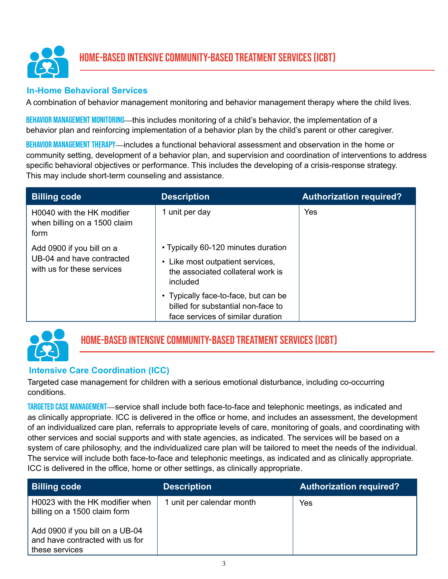

#### **In-Home Behavioral Services**

A combination of behavior management monitoring and behavior management therapy where the child lives.

BEHAVIOR MANAGEMENT MONITORING—this includes monitoring of a child's behavior, the implementation of a behavior plan and reinforcing implementation of a behavior plan by the child's parent or other caregiver.

BEHAVIOR MANAGEMENT THERAPY—includes a functional behavioral assessment and observation in the home or community setting, development of a behavior plan, and supervision and coordination of interventions to address specific behavioral objectives or performance. This includes the developing of a crisis-response strategy. This may include short-term counseling and assistance.

| <b>Billing code</b>                                                                  | <b>Description</b>                                                                                                       | <b>Authorization required?</b> |
|--------------------------------------------------------------------------------------|--------------------------------------------------------------------------------------------------------------------------|--------------------------------|
| H0040 with the HK modifier<br>when billing on a 1500 claim<br>form                   | 1 unit per day                                                                                                           | Yes                            |
| Add 0900 if you bill on a<br>UB-04 and have contracted<br>with us for these services | • Typically 60-120 minutes duration<br>• Like most outpatient services,<br>the associated collateral work is<br>included |                                |
|                                                                                      | • Typically face-to-face, but can be<br>billed for substantial non-face to<br>face services of similar duration          |                                |



# Home-Based Intensive Community-based Treatment Services (ICBT)

### **Intensive Care Coordination (ICC)**

Targeted case management for children with a serious emotional disturbance, including co-occurring conditions.

TARGETED CASE MANAGEMENT—service shall include both face-to-face and telephonic meetings, as indicated and as clinically appropriate. ICC is delivered in the office or home, and includes an assessment, the development of an individualized care plan, referrals to appropriate levels of care, monitoring of goals, and coordinating with other services and social supports and with state agencies, as indicated. The services will be based on a system of care philosophy, and the individualized care plan will be tailored to meet the needs of the individual. The service will include both face-to-face and telephonic meetings, as indicated and as clinically appropriate. ICC is delivered in the office, home or other settings, as clinically appropriate.

| <b>Billing code</b>                                                                                                                                     | <b>Description</b>        | <b>Authorization required?</b> |
|---------------------------------------------------------------------------------------------------------------------------------------------------------|---------------------------|--------------------------------|
| H0023 with the HK modifier when<br>billing on a 1500 claim form<br>Add 0900 if you bill on a UB-04<br>and have contracted with us for<br>these services | 1 unit per calendar month | Yes                            |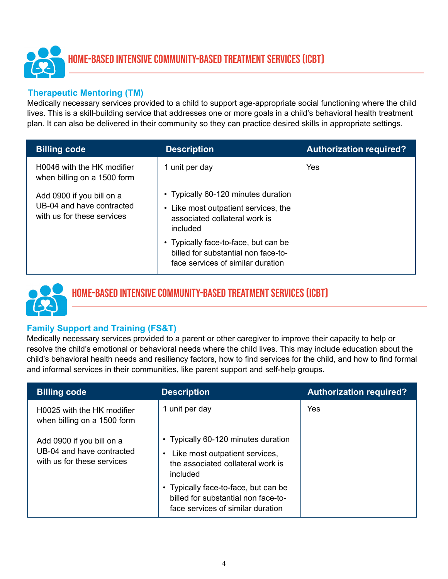

#### **Therapeutic Mentoring (TM)**

Medically necessary services provided to a child to support age-appropriate social functioning where the child lives. This is a skill-building service that addresses one or more goals in a child's behavioral health treatment plan. It can also be delivered in their community so they can practice desired skills in appropriate settings.

| <b>Billing code</b>                                                                  | <b>Description</b>                                                                                                                                                                                                                           | <b>Authorization required?</b> |
|--------------------------------------------------------------------------------------|----------------------------------------------------------------------------------------------------------------------------------------------------------------------------------------------------------------------------------------------|--------------------------------|
| H0046 with the HK modifier<br>when billing on a 1500 form                            | 1 unit per day                                                                                                                                                                                                                               | Yes                            |
| Add 0900 if you bill on a<br>UB-04 and have contracted<br>with us for these services | • Typically 60-120 minutes duration<br>• Like most outpatient services, the<br>associated collateral work is<br>included<br>• Typically face-to-face, but can be<br>billed for substantial non face-to-<br>face services of similar duration |                                |



# Home-Based Intensive Community-based Treatment Services (ICBT)

### **Family Support and Training (FS&T)**

Medically necessary services provided to a parent or other caregiver to improve their capacity to help or resolve the child's emotional or behavioral needs where the child lives. This may include education about the child's behavioral health needs and resiliency factors, how to find services for the child, and how to find formal and informal services in their communities, like parent support and self-help groups.

| <b>Billing code</b>                                                                  | <b>Description</b>                                                                                                       | <b>Authorization required?</b> |
|--------------------------------------------------------------------------------------|--------------------------------------------------------------------------------------------------------------------------|--------------------------------|
| H0025 with the HK modifier<br>when billing on a 1500 form                            | 1 unit per day                                                                                                           | Yes                            |
| Add 0900 if you bill on a<br>UB-04 and have contracted<br>with us for these services | • Typically 60-120 minutes duration<br>• Like most outpatient services,<br>the associated collateral work is<br>included |                                |
|                                                                                      | • Typically face-to-face, but can be<br>billed for substantial non face-to-<br>face services of similar duration         |                                |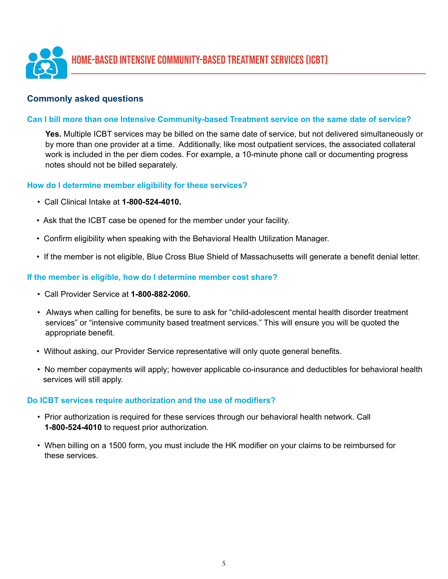

#### **Commonly asked questions**

#### **Can I bill more than one Intensive Community-based Treatment service on the same date of service?**

**Yes.** Multiple ICBT services may be billed on the same date of service, but not delivered simultaneously or by more than one provider at a time. Additionally, like most outpatient services, the associated collateral work is included in the per diem codes. For example, a 10-minute phone call or documenting progress notes should not be billed separately.

#### **How do I determine member eligibility for these services?**

- Call Clinical Intake at **1-800-524-4010.**
- Ask that the ICBT case be opened for the member under your facility.
- Confirm eligibility when speaking with the Behavioral Health Utilization Manager.
- If the member is not eligible, Blue Cross Blue Shield of Massachusetts will generate a benefit denial letter.

#### **If the member is eligible, how do I determine member cost share?**

- Call Provider Service at **1-800-882-2060.**
- Always when calling for benefits, be sure to ask for "child-adolescent mental health disorder treatment services" or "intensive community based treatment services." This will ensure you will be quoted the appropriate benefit.
- Without asking, our Provider Service representative will only quote general benefits.
- No member copayments will apply; however applicable co-insurance and deductibles for behavioral health services will still apply.

#### **Do ICBT services require authorization and the use of modifiers?**

- Prior authorization is required for these services through our behavioral health network. Call **1-800-524-4010** to request prior authorization.
- When billing on a 1500 form, you must include the HK modifier on your claims to be reimbursed for these services.